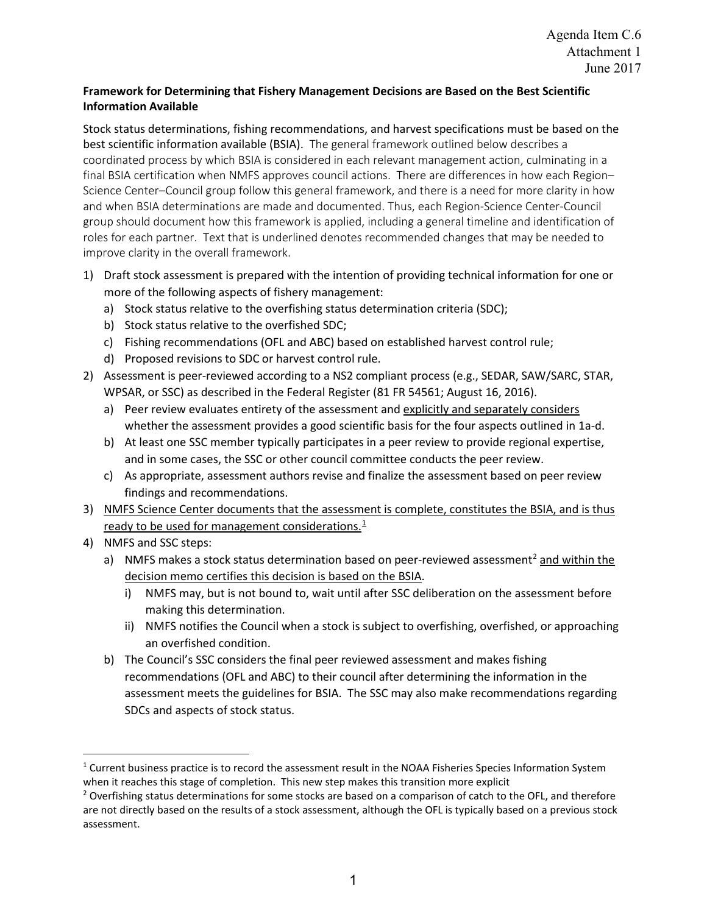## **Framework for Determining that Fishery Management Decisions are Based on the Best Scientific Information Available**

Stock status determinations, fishing recommendations, and harvest specifications must be based on the best scientific information available (BSIA). The general framework outlined below describes a coordinated process by which BSIA is considered in each relevant management action, culminating in a final BSIA certification when NMFS approves council actions. There are differences in how each Region– Science Center–Council group follow this general framework, and there is a need for more clarity in how and when BSIA determinations are made and documented. Thus, each Region-Science Center-Council group should document how this framework is applied, including a general timeline and identification of roles for each partner. Text that is underlined denotes recommended changes that may be needed to improve clarity in the overall framework.

- 1) Draft stock assessment is prepared with the intention of providing technical information for one or more of the following aspects of fishery management:
	- a) Stock status relative to the overfishing status determination criteria (SDC);
	- b) Stock status relative to the overfished SDC;
	- c) Fishing recommendations (OFL and ABC) based on established harvest control rule;
	- d) Proposed revisions to SDC or harvest control rule.
- 2) Assessment is peer-reviewed according to a NS2 compliant process (e.g., SEDAR, SAW/SARC, STAR, WPSAR, or SSC) as described in the Federal Register (81 FR 54561; August 16, 2016).
	- a) Peer review evaluates entirety of the assessment and explicitly and separately considers whether the assessment provides a good scientific basis for the four aspects outlined in 1a-d.
	- b) At least one SSC member typically participates in a peer review to provide regional expertise, and in some cases, the SSC or other council committee conducts the peer review.
	- c) As appropriate, assessment authors revise and finalize the assessment based on peer review findings and recommendations.
- 3) NMFS Science Center documents that the assessment is complete, constitutes the BSIA, and is thus ready to be used for management considerations.<sup>[1](#page-0-0)</sup>
- 4) NMFS and SSC steps:
	- a) NMFS makes a stock status determination based on peer-reviewed assessment<sup>[2](#page-0-1)</sup> and within the decision memo certifies this decision is based on the BSIA.
		- i) NMFS may, but is not bound to, wait until after SSC deliberation on the assessment before making this determination.
		- ii) NMFS notifies the Council when a stock is subject to overfishing, overfished, or approaching an overfished condition.
	- b) The Council's SSC considers the final peer reviewed assessment and makes fishing recommendations (OFL and ABC) to their council after determining the information in the assessment meets the guidelines for BSIA. The SSC may also make recommendations regarding SDCs and aspects of stock status.

<span id="page-0-0"></span><sup>&</sup>lt;sup>1</sup> Current business practice is to record the assessment result in the NOAA Fisheries Species Information System when it reaches this stage of completion. This new step makes this transition more explicit

<span id="page-0-1"></span><sup>&</sup>lt;sup>2</sup> Overfishing status determinations for some stocks are based on a comparison of catch to the OFL, and therefore are not directly based on the results of a stock assessment, although the OFL is typically based on a previous stock assessment.